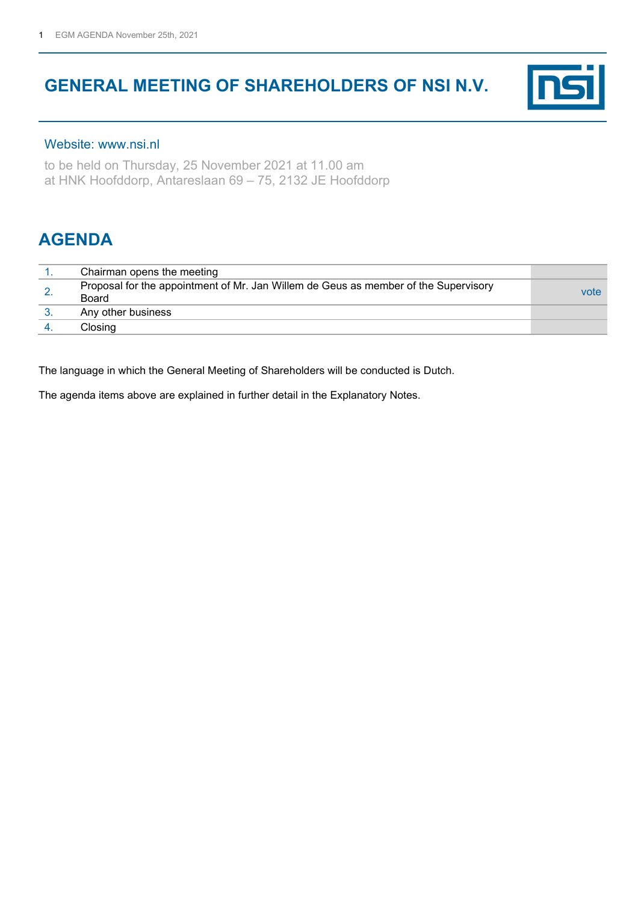# **GENERAL MEETING OF SHAREHOLDERS OF NSI N.V.**



### Website: www.nsi.nl

to be held on Thursday, 25 November 2021 at 11.00 am at HNK Hoofddorp, Antareslaan 69 – 75, 2132 JE Hoofddorp

## **AGENDA**

| Chairman opens the meeting                                                                   |      |
|----------------------------------------------------------------------------------------------|------|
| Proposal for the appointment of Mr. Jan Willem de Geus as member of the Supervisory<br>Board | vote |
| Any other business                                                                           |      |
| Closina                                                                                      |      |

The language in which the General Meeting of Shareholders will be conducted is Dutch.

The agenda items above are explained in further detail in the Explanatory Notes.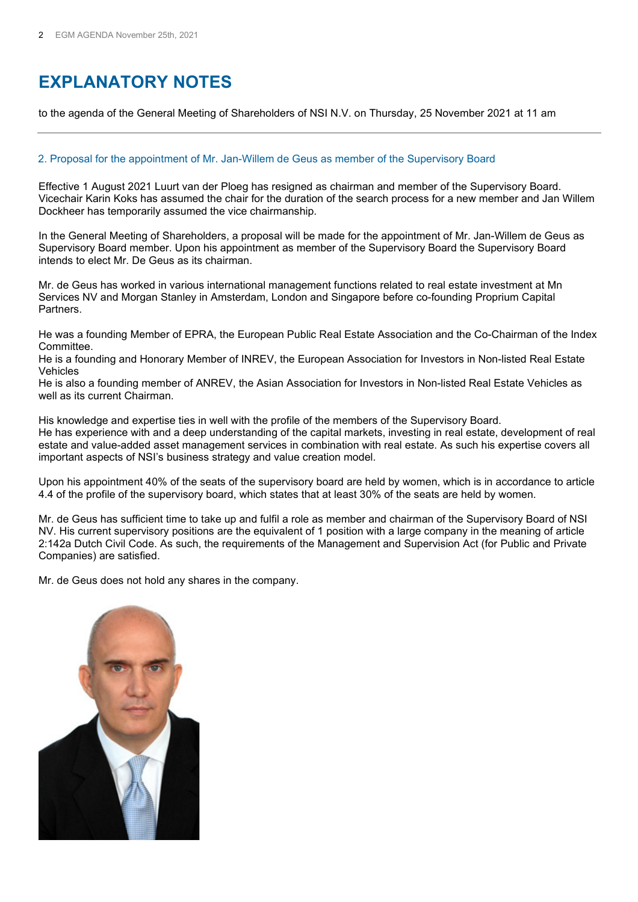## **EXPLANATORY NOTES**

to the agenda of the General Meeting of Shareholders of NSI N.V. on Thursday, 25 November 2021 at 11 am

#### 2. Proposal for the appointment of Mr. Jan-Willem de Geus as member of the Supervisory Board

Effective 1 August 2021 Luurt van der Ploeg has resigned as chairman and member of the Supervisory Board. Vicechair Karin Koks has assumed the chair for the duration of the search process for a new member and Jan Willem Dockheer has temporarily assumed the vice chairmanship.

In the General Meeting of Shareholders, a proposal will be made for the appointment of Mr. Jan-Willem de Geus as Supervisory Board member. Upon his appointment as member of the Supervisory Board the Supervisory Board intends to elect Mr. De Geus as its chairman.

Mr. de Geus has worked in various international management functions related to real estate investment at Mn Services NV and Morgan Stanley in Amsterdam, London and Singapore before co-founding Proprium Capital Partners.

He was a founding Member of EPRA, the European Public Real Estate Association and the Co-Chairman of the Index Committee.

He is a founding and Honorary Member of INREV, the European Association for Investors in Non-listed Real Estate Vehicles

He is also a founding member of ANREV, the Asian Association for Investors in Non-listed Real Estate Vehicles as well as its current Chairman.

His knowledge and expertise ties in well with the profile of the members of the Supervisory Board. He has experience with and a deep understanding of the capital markets, investing in real estate, development of real estate and value-added asset management services in combination with real estate. As such his expertise covers all important aspects of NSI's business strategy and value creation model.

Upon his appointment 40% of the seats of the supervisory board are held by women, which is in accordance to article 4.4 of the profile of the supervisory board, which states that at least 30% of the seats are held by women.

Mr. de Geus has sufficient time to take up and fulfil a role as member and chairman of the Supervisory Board of NSI NV. His current supervisory positions are the equivalent of 1 position with a large company in the meaning of article 2:142a Dutch Civil Code. As such, the requirements of the Management and Supervision Act (for Public and Private Companies) are satisfied.

Mr. de Geus does not hold any shares in the company.

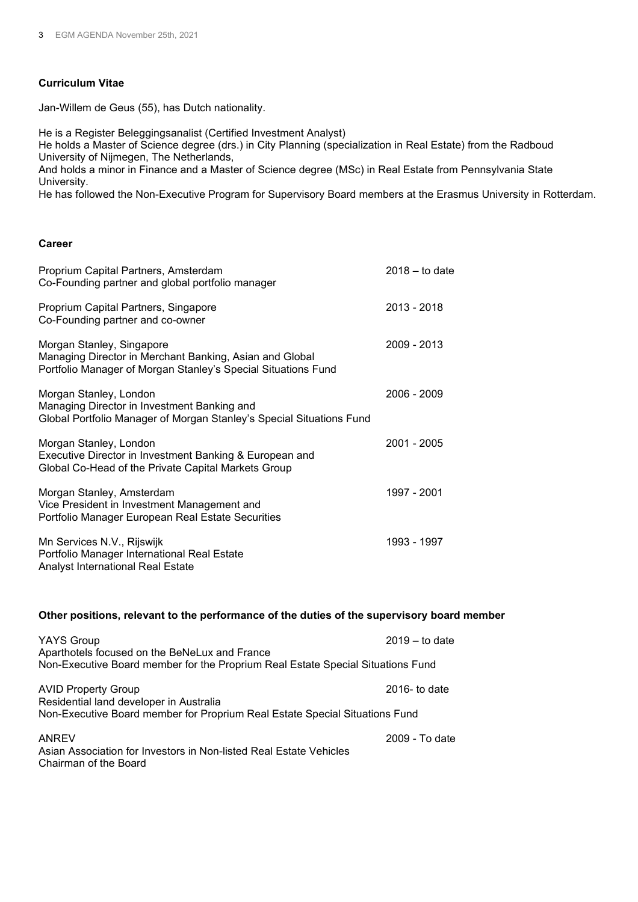#### **Curriculum Vitae**

Jan-Willem de Geus (55), has Dutch nationality.

He is a Register Beleggingsanalist (Certified Investment Analyst) He holds a Master of Science degree (drs.) in City Planning (specialization in Real Estate) from the Radboud University of Nijmegen, The Netherlands,

And holds a minor in Finance and a Master of Science degree (MSc) in Real Estate from Pennsylvania State University.

He has followed the Non-Executive Program for Supervisory Board members at the Erasmus University in Rotterdam.

#### **Career**

| Proprium Capital Partners, Amsterdam<br>Co-Founding partner and global portfolio manager                                                              | $2018 -$ to date |
|-------------------------------------------------------------------------------------------------------------------------------------------------------|------------------|
| Proprium Capital Partners, Singapore<br>Co-Founding partner and co-owner                                                                              | 2013 - 2018      |
| Morgan Stanley, Singapore<br>Managing Director in Merchant Banking, Asian and Global<br>Portfolio Manager of Morgan Stanley's Special Situations Fund | 2009 - 2013      |
| Morgan Stanley, London<br>Managing Director in Investment Banking and<br>Global Portfolio Manager of Morgan Stanley's Special Situations Fund         | 2006 - 2009      |
| Morgan Stanley, London<br>Executive Director in Investment Banking & European and<br>Global Co-Head of the Private Capital Markets Group              | 2001 - 2005      |
| Morgan Stanley, Amsterdam<br>Vice President in Investment Management and<br>Portfolio Manager European Real Estate Securities                         | 1997 - 2001      |
| Mn Services N.V., Rijswijk<br>Portfolio Manager International Real Estate<br>Analyst International Real Estate                                        | 1993 - 1997      |

#### **Other positions, relevant to the performance of the duties of the supervisory board member**

| <b>YAYS Group</b><br>Aparthotels focused on the BeNeLux and France                          | $2019 -$ to date |
|---------------------------------------------------------------------------------------------|------------------|
| Non-Executive Board member for the Proprium Real Estate Special Situations Fund             |                  |
| <b>AVID Property Group</b><br>Residential land developer in Australia                       | 2016- to date    |
| Non-Executive Board member for Proprium Real Estate Special Situations Fund                 |                  |
| <b>ANREV</b>                                                                                | 2009 - To date   |
| Asian Association for Investors in Non-listed Real Estate Vehicles<br>Chairman of the Board |                  |